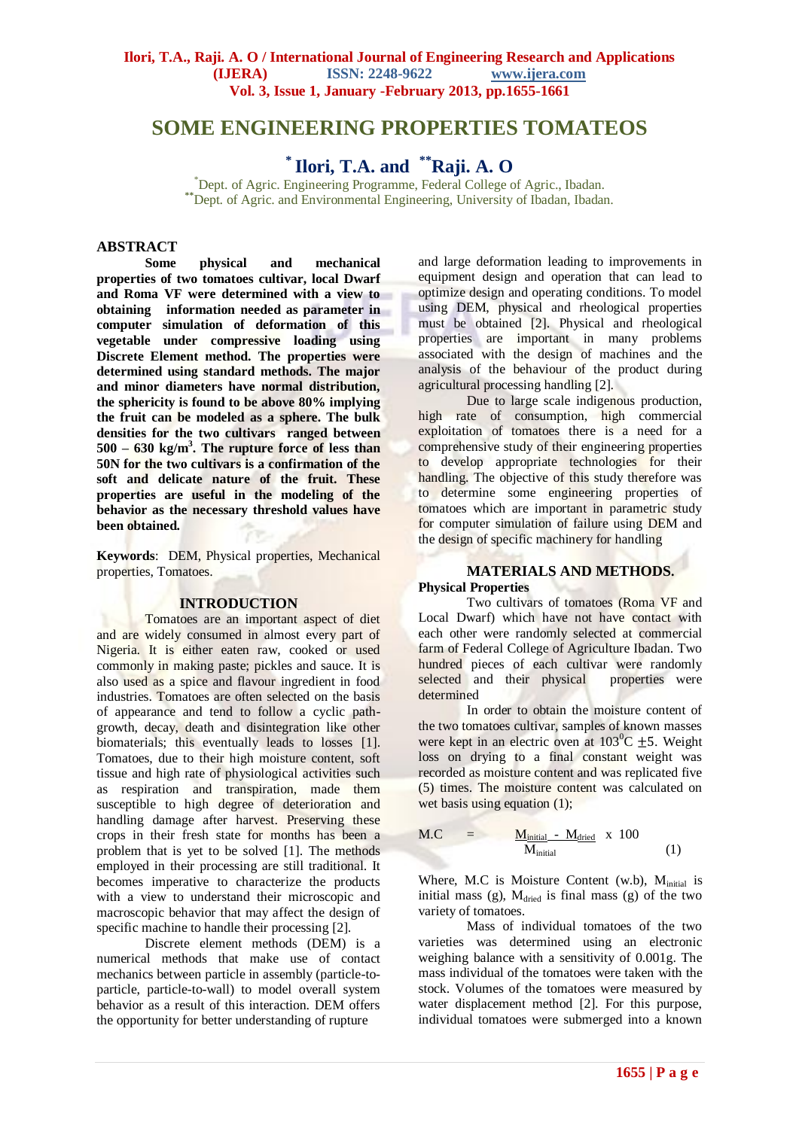# **SOME ENGINEERING PROPERTIES TOMATEOS**

<sup>\*</sup> Ilori, T.A. and <sup>\*\*</sup>Raji. A. O

<sup>\*</sup>Dept. of Agric. Engineering Programme, Federal College of Agric., Ibadan. **\*\***Dept. of Agric. and Environmental Engineering, University of Ibadan, Ibadan.

### **ABSTRACT**

**Some physical and mechanical properties of two tomatoes cultivar, local Dwarf and Roma VF were determined with a view to obtaining information needed as parameter in computer simulation of deformation of this vegetable under compressive loading using Discrete Element method. The properties were determined using standard methods. The major and minor diameters have normal distribution, the sphericity is found to be above 80% implying the fruit can be modeled as a sphere. The bulk densities for the two cultivars ranged between 500 – 630 kg/m<sup>3</sup> . The rupture force of less than 50N for the two cultivars is a confirmation of the soft and delicate nature of the fruit. These properties are useful in the modeling of the behavior as the necessary threshold values have been obtained.**

**Keywords**: DEM, Physical properties, Mechanical properties, Tomatoes.

### **INTRODUCTION**

Tomatoes are an important aspect of diet and are widely consumed in almost every part of Nigeria. It is either eaten raw, cooked or used commonly in making paste; pickles and sauce. It is also used as a spice and flavour ingredient in food industries. Tomatoes are often selected on the basis of appearance and tend to follow a cyclic pathgrowth, decay, death and disintegration like other biomaterials; this eventually leads to losses [1]. Tomatoes, due to their high moisture content, soft tissue and high rate of physiological activities such as respiration and transpiration, made them susceptible to high degree of deterioration and handling damage after harvest. Preserving these crops in their fresh state for months has been a problem that is yet to be solved [1]. The methods employed in their processing are still traditional. It becomes imperative to characterize the products with a view to understand their microscopic and macroscopic behavior that may affect the design of specific machine to handle their processing [2].

Discrete element methods (DEM) is a numerical methods that make use of contact mechanics between particle in assembly (particle-toparticle, particle-to-wall) to model overall system behavior as a result of this interaction. DEM offers the opportunity for better understanding of rupture

and large deformation leading to improvements in equipment design and operation that can lead to optimize design and operating conditions. To model using DEM, physical and rheological properties must be obtained [2]. Physical and rheological properties are important in many problems associated with the design of machines and the analysis of the behaviour of the product during agricultural processing handling [2].

Due to large scale indigenous production, high rate of consumption, high commercial exploitation of tomatoes there is a need for a comprehensive study of their engineering properties to develop appropriate technologies for their handling. The objective of this study therefore was to determine some engineering properties of tomatoes which are important in parametric study for computer simulation of failure using DEM and the design of specific machinery for handling

#### **MATERIALS AND METHODS. Physical Properties**

Two cultivars of tomatoes (Roma VF and Local Dwarf) which have not have contact with each other were randomly selected at commercial farm of Federal College of Agriculture Ibadan. Two hundred pieces of each cultivar were randomly selected and their physical properties were determined

In order to obtain the moisture content of the two tomatoes cultivar, samples of known masses were kept in an electric oven at  $103^{\circ}C + 5$ . Weight loss on drying to a final constant weight was recorded as moisture content and was replicated five (5) times. The moisture content was calculated on wet basis using equation  $(1)$ :

$$
M.C = \frac{M_{initial} - M_{dried}}{M_{initial}} \times 100
$$
 (1)

Where, M.C is Moisture Content  $(w.b)$ ,  $M<sub>initial</sub>$  is initial mass (g),  $M_{\text{dried}}$  is final mass (g) of the two variety of tomatoes.

Mass of individual tomatoes of the two varieties was determined using an electronic weighing balance with a sensitivity of 0.001g. The mass individual of the tomatoes were taken with the stock. Volumes of the tomatoes were measured by water displacement method [2]. For this purpose, individual tomatoes were submerged into a known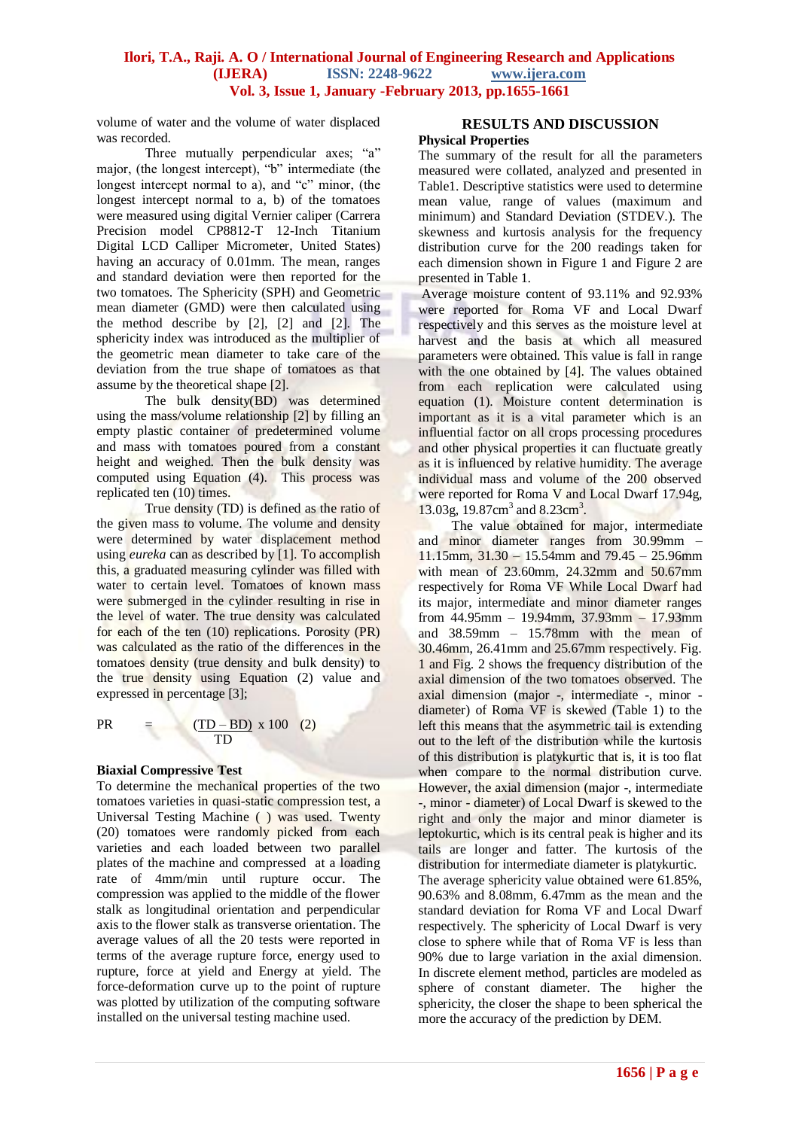## **Ilori, T.A., Raji. A. O / International Journal of Engineering Research and Applications (IJERA) ISSN: 2248-9622 www.ijera.com Vol. 3, Issue 1, January -February 2013, pp.1655-1661**

volume of water and the volume of water displaced was recorded.

Three mutually perpendicular axes; "a" major, (the longest intercept), "b" intermediate (the longest intercept normal to a), and "c" minor, (the longest intercept normal to a, b) of the tomatoes were measured using digital Vernier caliper (Carrera Precision model CP8812-T 12-Inch Titanium Digital LCD Calliper Micrometer, United States) having an accuracy of 0.01mm. The mean, ranges and standard deviation were then reported for the two tomatoes. The Sphericity (SPH) and Geometric mean diameter (GMD) were then calculated using the method describe by [2], [2] and [2]. The sphericity index was introduced as the multiplier of the geometric mean diameter to take care of the deviation from the true shape of tomatoes as that assume by the theoretical shape [2].

The bulk density(BD) was determined using the mass/volume relationship [2] by filling an empty plastic container of predetermined volume and mass with tomatoes poured from a constant height and weighed. Then the bulk density was computed using Equation (4). This process was replicated ten (10) times.

True density (TD) is defined as the ratio of the given mass to volume. The volume and density were determined by water displacement method using *eureka* can as described by [1]. To accomplish this, a graduated measuring cylinder was filled with water to certain level. Tomatoes of known mass were submerged in the cylinder resulting in rise in the level of water. The true density was calculated for each of the ten (10) replications. Porosity (PR) was calculated as the ratio of the differences in the tomatoes density (true density and bulk density) to the true density using Equation (2) value and expressed in percentage [3];

PR =  $(\underline{TD - BD}) x 100 (2)$ **TD** 

#### **Biaxial Compressive Test**

To determine the mechanical properties of the two tomatoes varieties in quasi-static compression test, a Universal Testing Machine ( ) was used. Twenty (20) tomatoes were randomly picked from each varieties and each loaded between two parallel plates of the machine and compressed at a loading rate of 4mm/min until rupture occur. The compression was applied to the middle of the flower stalk as longitudinal orientation and perpendicular axis to the flower stalk as transverse orientation. The average values of all the 20 tests were reported in terms of the average rupture force, energy used to rupture, force at yield and Energy at yield. The force-deformation curve up to the point of rupture was plotted by utilization of the computing software installed on the universal testing machine used.

# **RESULTS AND DISCUSSION**

## **Physical Properties**

The summary of the result for all the parameters measured were collated, analyzed and presented in Table1. Descriptive statistics were used to determine mean value, range of values (maximum and minimum) and Standard Deviation (STDEV.). The skewness and kurtosis analysis for the frequency distribution curve for the 200 readings taken for each dimension shown in Figure 1 and Figure 2 are presented in Table 1.

Average moisture content of 93.11% and 92.93% were reported for Roma VF and Local Dwarf respectively and this serves as the moisture level at harvest and the basis at which all measured parameters were obtained. This value is fall in range with the one obtained by [4]. The values obtained from each replication were calculated using equation (1). Moisture content determination is important as it is a vital parameter which is an influential factor on all crops processing procedures and other physical properties it can fluctuate greatly as it is influenced by relative humidity. The average individual mass and volume of the 200 observed were reported for Roma V and Local Dwarf 17.94g. 13.03g, 19.87cm<sup>3</sup> and 8.23cm<sup>3</sup>.

The value obtained for major, intermediate and minor diameter ranges from 30.99mm – 11.15mm, 31.30 – 15.54mm and 79.45 – 25.96mm with mean of 23.60mm, 24.32mm and 50.67mm respectively for Roma VF While Local Dwarf had its major, intermediate and minor diameter ranges from 44.95mm – 19.94mm, 37.93mm – 17.93mm and 38.59mm – 15.78mm with the mean of 30.46mm, 26.41mm and 25.67mm respectively. Fig. 1 and Fig. 2 shows the frequency distribution of the axial dimension of the two tomatoes observed. The axial dimension (major -, intermediate -, minor diameter) of Roma VF is skewed (Table 1) to the left this means that the asymmetric tail is extending out to the left of the distribution while the kurtosis of this distribution is platykurtic that is, it is too flat when compare to the normal distribution curve. However, the axial dimension (major -, intermediate -, minor - diameter) of Local Dwarf is skewed to the right and only the major and minor diameter is leptokurtic, which is its central peak is higher and its tails are longer and fatter. The kurtosis of the distribution for intermediate diameter is platykurtic. The average sphericity value obtained were 61.85%, 90.63% and 8.08mm, 6.47mm as the mean and the standard deviation for Roma VF and Local Dwarf respectively. The sphericity of Local Dwarf is very close to sphere while that of Roma VF is less than 90% due to large variation in the axial dimension. In discrete element method, particles are modeled as sphere of constant diameter. The higher the sphericity, the closer the shape to been spherical the more the accuracy of the prediction by DEM.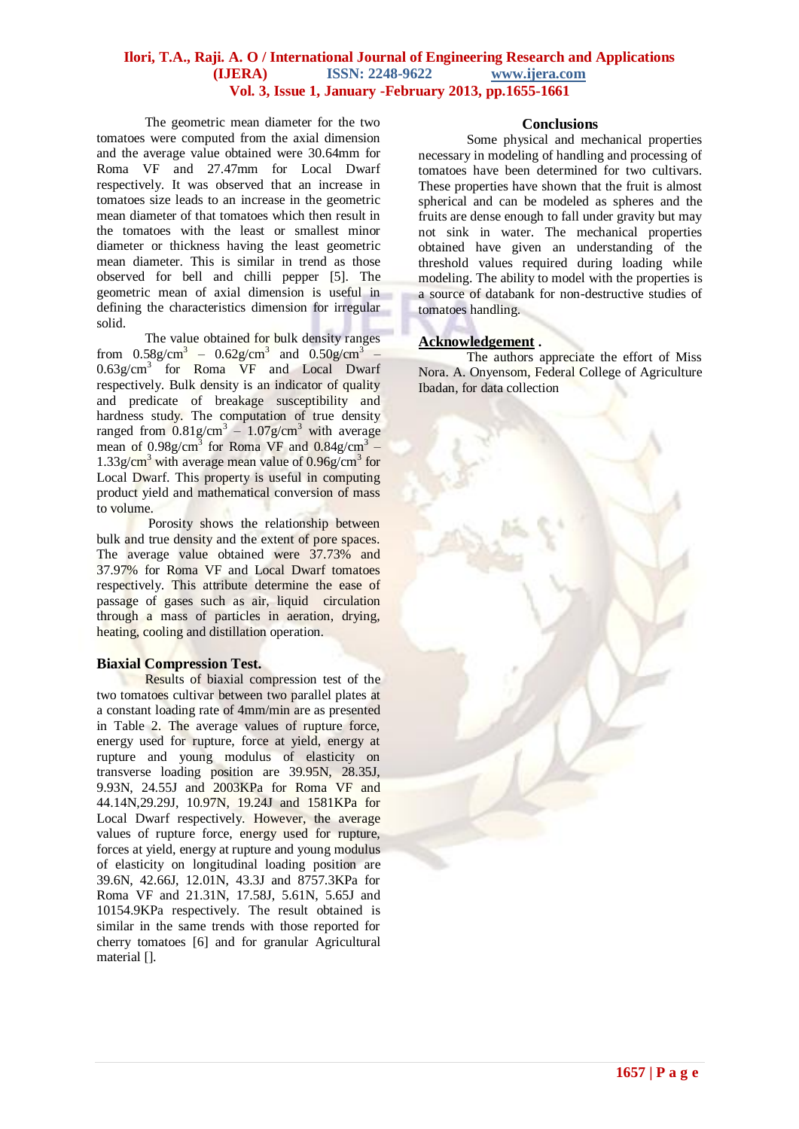## **Ilori, T.A., Raji. A. O / International Journal of Engineering Research and Applications (IJERA) ISSN: 2248-9622 www.ijera.com Vol. 3, Issue 1, January -February 2013, pp.1655-1661**

The geometric mean diameter for the two tomatoes were computed from the axial dimension and the average value obtained were 30.64mm for Roma VF and 27.47mm for Local Dwarf respectively. It was observed that an increase in tomatoes size leads to an increase in the geometric mean diameter of that tomatoes which then result in the tomatoes with the least or smallest minor diameter or thickness having the least geometric mean diameter. This is similar in trend as those observed for bell and chilli pepper [5]. The geometric mean of axial dimension is useful in defining the characteristics dimension for irregular solid.

The value obtained for bulk density ranges from  $0.58g/cm^{3} - 0.62g/cm^{3}$  and  $0.50g/cm^{3}$  -0.63g/cm<sup>3</sup> for Roma VF and Local Dwarf respectively. Bulk density is an indicator of quality and predicate of breakage susceptibility and hardness study. The computation of true density ranged from  $0.81$ g/cm<sup>3</sup> –  $1.07$ g/cm<sup>3</sup> with average mean of  $0.98g/cm^3$  for Roma VF and  $0.84g/cm^3$  –  $1.33g/cm<sup>3</sup>$  with average mean value of  $0.96g/cm<sup>3</sup>$  for Local Dwarf. This property is useful in computing product yield and mathematical conversion of mass to volume.

Porosity shows the relationship between bulk and true density and the extent of pore spaces. The average value obtained were 37.73% and 37.97% for Roma VF and Local Dwarf tomatoes respectively. This attribute determine the ease of passage of gases such as air, liquid circulation through a mass of particles in aeration, drying, heating, cooling and distillation operation.

#### **Biaxial Compression Test.**

Results of biaxial compression test of the two tomatoes cultivar between two parallel plates at a constant loading rate of 4mm/min are as presented in Table 2. The average values of rupture force, energy used for rupture, force at yield, energy at rupture and young modulus of elasticity on transverse loading position are 39.95N, 28.35J, 9.93N, 24.55J and 2003KPa for Roma VF and 44.14N,29.29J, 10.97N, 19.24J and 1581KPa for Local Dwarf respectively. However, the average values of rupture force, energy used for rupture, forces at yield, energy at rupture and young modulus of elasticity on longitudinal loading position are 39.6N, 42.66J, 12.01N, 43.3J and 8757.3KPa for Roma VF and 21.31N, 17.58J, 5.61N, 5.65J and 10154.9KPa respectively. The result obtained is similar in the same trends with those reported for cherry tomatoes [6] and for granular Agricultural material [].

### **Conclusions**

Some physical and mechanical properties necessary in modeling of handling and processing of tomatoes have been determined for two cultivars. These properties have shown that the fruit is almost spherical and can be modeled as spheres and the fruits are dense enough to fall under gravity but may not sink in water. The mechanical properties obtained have given an understanding of the threshold values required during loading while modeling. The ability to model with the properties is a source of databank for non-destructive studies of tomatoes handling.

## **Acknowledgement .**

The authors appreciate the effort of Miss Nora. A. Onyensom, Federal College of Agriculture Ibadan, for data collection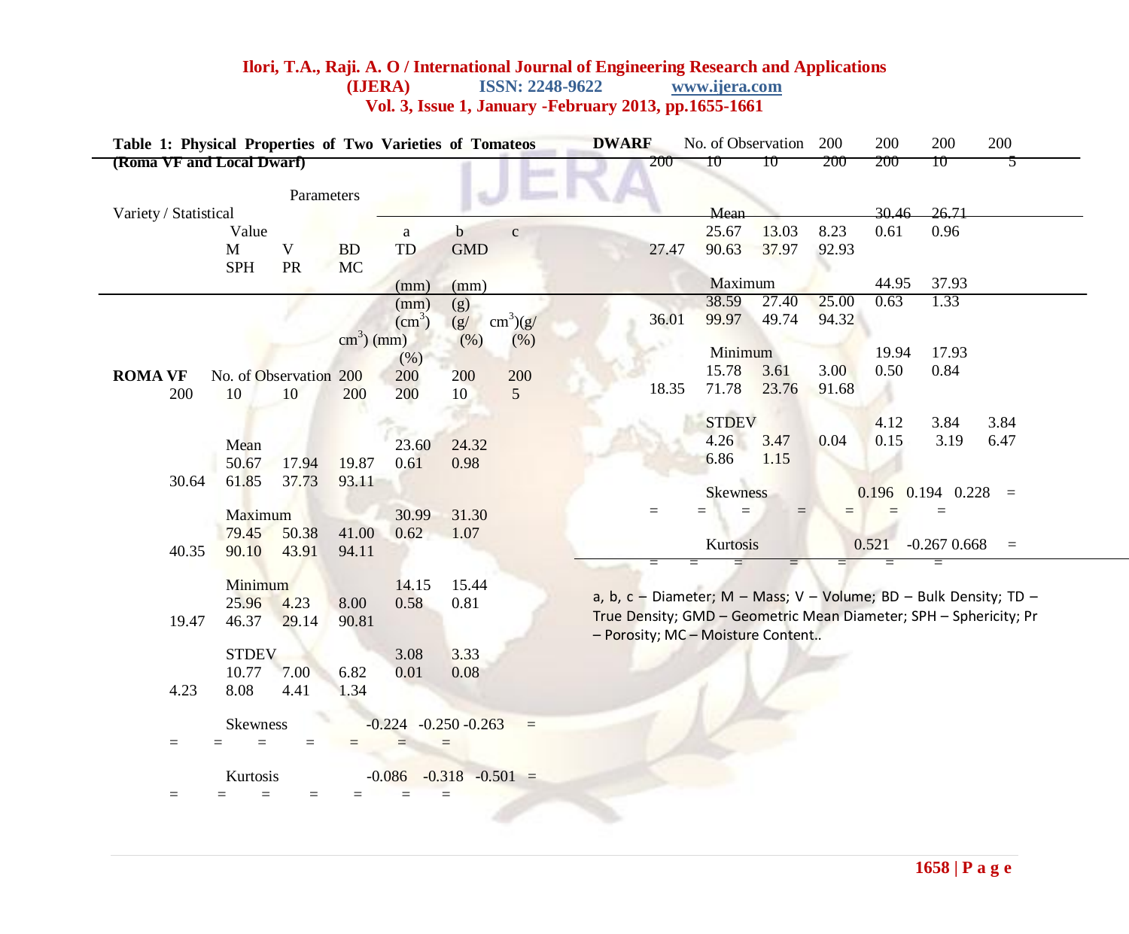## **Ilori, T.A., Raji. A. O / International Journal of Engineering Research and Applications (IJERA) ISSN: 2248-9622 www.ijera.com ISSN: 2248-9622 Vol. 3, Issue 1, January -February 2013, pp.1655-1661**

| Table 1: Physical Properties of Two Varieties of Tomateos |                                   |                        |                            |                    | <b>DWARF</b> |                                          | No. of Observation                                                |       | 200                                      | 200   | 200   | 200   |                |      |
|-----------------------------------------------------------|-----------------------------------|------------------------|----------------------------|--------------------|--------------|------------------------------------------|-------------------------------------------------------------------|-------|------------------------------------------|-------|-------|-------|----------------|------|
| (Roma VF and Local Dwarf)                                 |                                   |                        |                            |                    |              |                                          | 200                                                               | 10    | 10                                       | 200   | 200   | 10    | C              |      |
|                                                           |                                   | Parameters             |                            |                    |              |                                          |                                                                   |       | Mean                                     |       |       | 30.46 | 26.71          |      |
| Variety / Statistical<br>Value                            |                                   |                        |                            |                    | b            |                                          |                                                                   |       | 25.67                                    | 13.03 | 8.23  | 0.61  | 0.96           |      |
|                                                           | M                                 | V                      | <b>BD</b>                  | a<br>TD            | <b>GMD</b>   | $\mathbf{C}$                             |                                                                   |       | 90.63                                    | 37.97 | 92.93 |       |                |      |
|                                                           |                                   |                        |                            |                    |              |                                          |                                                                   | 27.47 |                                          |       |       |       |                |      |
|                                                           | <b>SPH</b>                        | <b>PR</b>              | <b>MC</b>                  | (mm)               | (mm)         |                                          |                                                                   |       | Maximum                                  |       |       | 44.95 | 37.93          |      |
|                                                           |                                   |                        |                            | (mm)               | (g)          |                                          |                                                                   |       | 38.59                                    | 27.40 | 25.00 | 0.63  | 1.33           |      |
|                                                           |                                   |                        |                            | (cm <sup>3</sup> ) | (g)          | $\text{cm}^3\text{)}(\text{g}/\text{g})$ |                                                                   | 36.01 | 99.97                                    | 49.74 | 94.32 |       |                |      |
|                                                           |                                   |                        | $\text{cm}^3\text{)}$ (mm) |                    | (% )         | (% )                                     |                                                                   |       |                                          |       |       |       |                |      |
|                                                           |                                   |                        |                            | (% )               |              |                                          |                                                                   |       | Minimum                                  |       |       | 19.94 | 17.93          |      |
| <b>ROMA VF</b>                                            |                                   | No. of Observation 200 |                            | 200                | 200          | 200                                      |                                                                   |       | 15.78                                    | 3.61  | 3.00  | 0.50  | 0.84           |      |
| 200                                                       | 10                                | 10                     | 200                        | 200                | 10           | 5                                        |                                                                   | 18.35 | 71.78                                    | 23.76 | 91.68 |       |                |      |
|                                                           |                                   |                        |                            |                    |              |                                          |                                                                   |       |                                          |       |       |       |                |      |
|                                                           |                                   |                        |                            |                    |              |                                          |                                                                   |       | <b>STDEV</b>                             |       |       | 4.12  | 3.84           | 3.84 |
|                                                           | Mean                              |                        |                            | 23.60              | 24.32        |                                          |                                                                   |       | 4.26                                     | 3.47  | 0.04  | 0.15  | 3.19           | 6.47 |
|                                                           | 50.67                             | 17.94                  | 19.87                      | 0.61               | 0.98         |                                          |                                                                   |       | 6.86                                     | 1.15  |       |       |                |      |
| 30.64                                                     | 61.85                             | 37.73                  | 93.11                      |                    |              |                                          |                                                                   |       |                                          |       |       |       |                |      |
|                                                           |                                   |                        |                            |                    |              |                                          |                                                                   |       | $0.196$ 0.194 0.228 =<br><b>Skewness</b> |       |       |       |                |      |
|                                                           | Maximum                           |                        |                            | 30.99              | 31.30        |                                          |                                                                   |       |                                          |       |       |       |                |      |
|                                                           | 79.45                             | 50.38                  | 41.00                      | 0.62               | 1.07         |                                          |                                                                   |       |                                          |       |       |       |                |      |
| 40.35                                                     | 90.10                             | 43.91                  | 94.11                      |                    |              |                                          |                                                                   |       | Kurtosis                                 |       |       | 0.521 | $-0.267$ 0.668 | $=$  |
|                                                           |                                   |                        |                            |                    |              |                                          | Ξ                                                                 |       |                                          | $=$   | $=$   |       | $=$            |      |
|                                                           | Minimum                           |                        |                            | 14.15              | 15.44        |                                          | a, b, c - Diameter; M - Mass; V - Volume; BD - Bulk Density; TD - |       |                                          |       |       |       |                |      |
|                                                           | 25.96                             | 4.23                   | 8.00                       | 0.58               | 0.81         |                                          |                                                                   |       |                                          |       |       |       |                |      |
| 19.47                                                     | 46.37                             | 29.14                  | 90.81                      |                    |              |                                          | True Density; GMD - Geometric Mean Diameter; SPH - Sphericity; Pr |       |                                          |       |       |       |                |      |
|                                                           | - Porosity; MC - Moisture Content |                        |                            |                    |              |                                          |                                                                   |       |                                          |       |       |       |                |      |
|                                                           | <b>STDEV</b>                      |                        |                            | 3.08               | 3.33         |                                          |                                                                   |       |                                          |       |       |       |                |      |
|                                                           | 10.77                             | 7.00                   | 6.82                       | 0.01               | 0.08         |                                          |                                                                   |       |                                          |       |       |       |                |      |
| 4.23                                                      | 8.08                              | 4.41                   | 1.34                       |                    |              |                                          |                                                                   |       |                                          |       |       |       |                |      |

 $\overline{\phantom{a}}$ 

= = = = = = =

= = = = = = =

Skewness  $-0.224 -0.250 -0.263 =$ 

Kurtosis  $-0.086 -0.318 -0.501 =$ 

 $\overline{K}$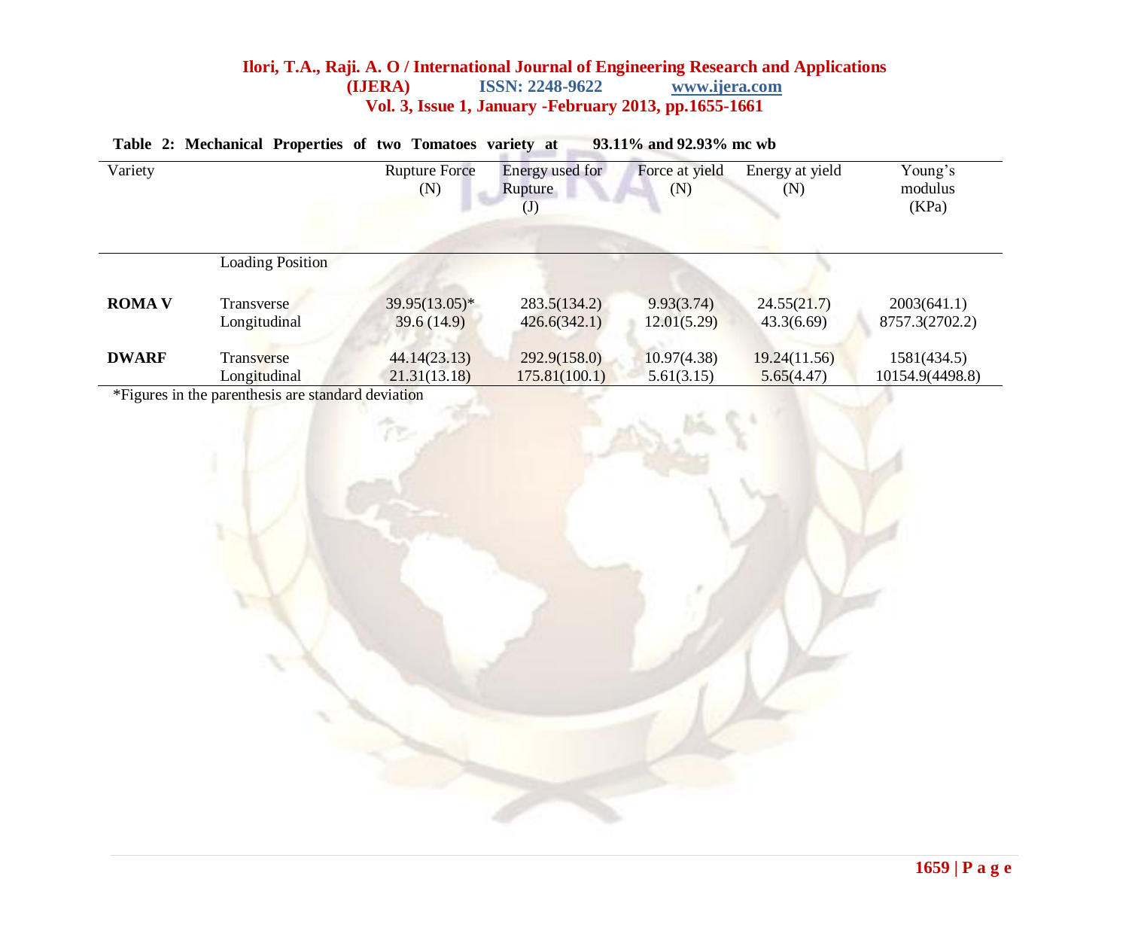## **Ilori, T.A., Raji. A. O / International Journal of Engineering Research and Applications (IJERA) ISSN: 2248-9622 www.ijera.com ISSN: 2248-9622 Vol. 3, Issue 1, January -February 2013, pp.1655-1661**

| Variety       |                         | <b>Rupture Force</b><br>(N) | Energy used for<br>Rupture<br>$(\mathsf{J})$ | Force at yield<br>(N) | Energy at yield<br>(N) | Young's<br>modulus<br>(KPa) |
|---------------|-------------------------|-----------------------------|----------------------------------------------|-----------------------|------------------------|-----------------------------|
|               | <b>Loading Position</b> |                             |                                              |                       |                        |                             |
| <b>ROMA V</b> | <b>Transverse</b>       | $39.95(13.05)^*$            | 283.5(134.2)                                 | 9.93(3.74)            | 24.55(21.7)            | 2003(641.1)                 |
|               | Longitudinal            | 39.6(14.9)                  | 426.6(342.1)                                 | 12.01(5.29)           | 43.3(6.69)             | 8757.3(2702.2)              |
| <b>DWARF</b>  | Transverse              | 44.14(23.13)                | 292.9(158.0)                                 | 10.97(4.38)           | 19.24(11.56)           | 1581(434.5)                 |
|               | Longitudinal            | 21.31(13.18)                | 175.81(100.1)                                | 5.61(3.15)            | 5.65(4.47)             | 10154.9(4498.8)             |

#### **Table 2: Mechanical Properties of two Tomatoes variety at 93.11% and 92.93% mc wb**

\*Figures in the parenthesis are standard deviation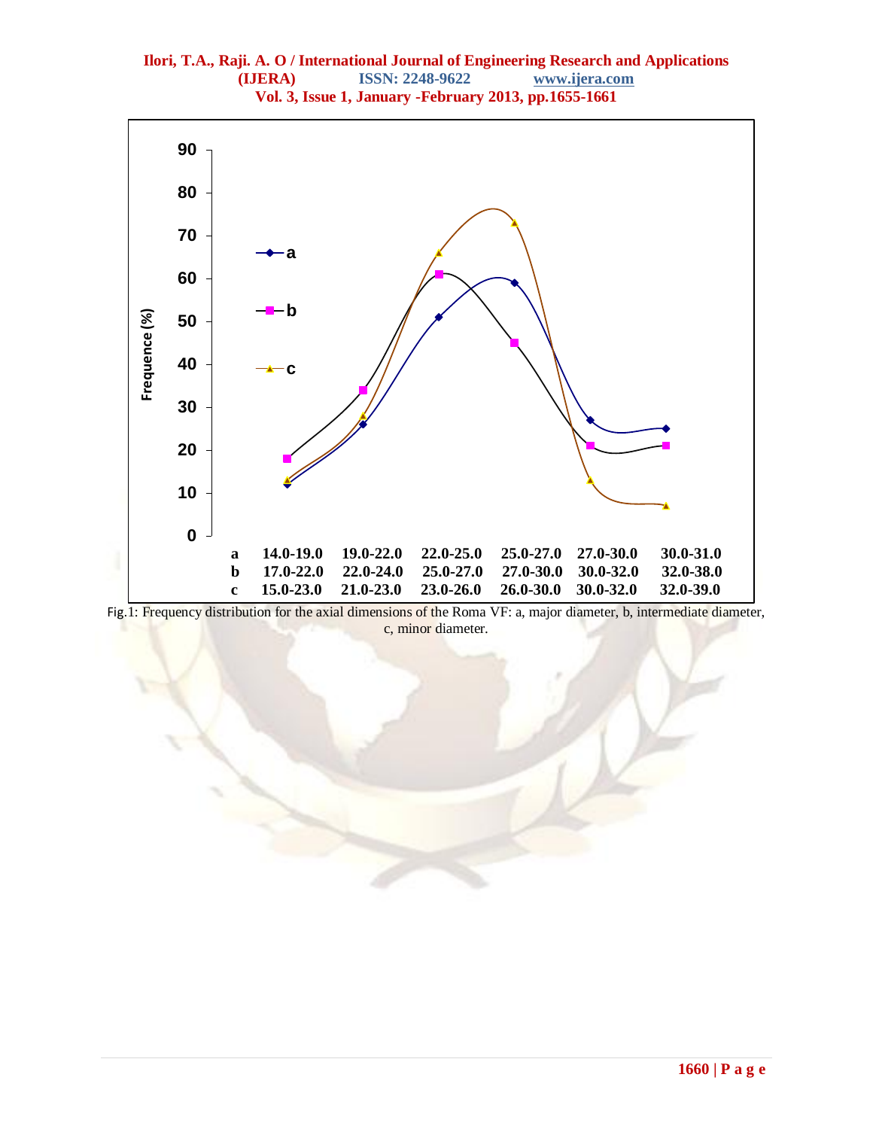

Fig.1: Frequency distribution for the axial dimensions of the Roma VF: a, major diameter, b, intermediate diameter, c, minor diameter.